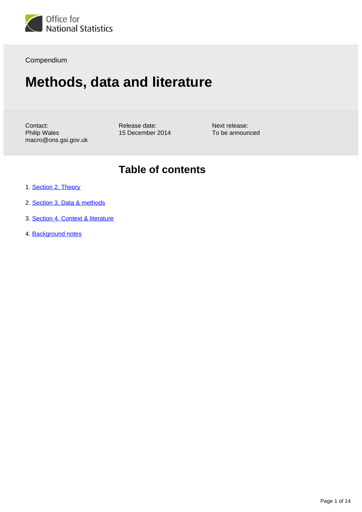

Compendium

# **Methods, data and literature**

Contact: Philip Wales macro@ons.gsi.gov.uk Release date: 15 December 2014

Next release: To be announced

## **Table of contents**

- 1. [Section 2. Theory](#page-1-0)
- 2. [Section 3. Data & methods](#page-3-0)
- 3. [Section 4. Context & literature](#page-10-0)
- 4. Background notes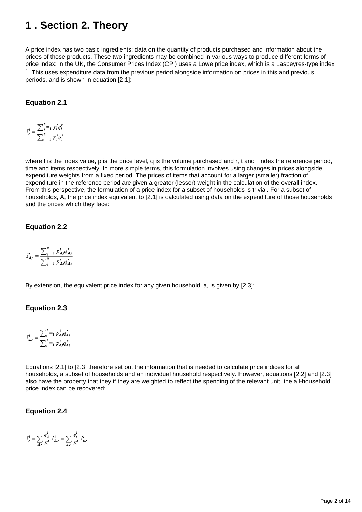## <span id="page-1-0"></span>**1 . Section 2. Theory**

A price index has two basic ingredients: data on the quantity of products purchased and information about the prices of those products. These two ingredients may be combined in various ways to produce different forms of price index: in the UK, the Consumer Prices Index (CPI) uses a Lowe price index, which is a Laspeyres-type index  $1$ . This uses expenditure data from the previous period alongside information on prices in this and previous periods, and is shown in equation [2.1]:

#### **Equation 2.1**

$$
I_r^t = \frac{\sum_{i=1}^n p_i^t q_i^r}{\sum_{i=1}^n p_i^r q_i^r}
$$

where I is the index value, p is the price level, q is the volume purchased and r, t and i index the reference period, time and items respectively. In more simple terms, this formulation involves using changes in prices alongside expenditure weights from a fixed period. The prices of items that account for a larger (smaller) fraction of expenditure in the reference period are given a greater (lesser) weight in the calculation of the overall index. From this perspective, the formulation of a price index for a subset of households is trivial. For a subset of households, A, the price index equivalent to [2.1] is calculated using data on the expenditure of those households and the prices which they face:

#### **Equation 2.2**

$$
I_{A\mathbf{y}}^{t} = \frac{\sum_{i=1}^{n} p_{A i}^{t} q_{A i}^{y}}{\sum_{i=1}^{n} p_{A i}^{y} q_{A i}^{y}}
$$

By extension, the equivalent price index for any given household, a, is given by [2.3]:

#### **Equation 2.3**

$$
I_{a,r}^t = \frac{\sum_{i=1}^{n} p_{a,i}^t q_{a,i}^r}{\sum_{i=1}^{n} p_{a,i}^r q_{a,i}^r}
$$

Equations [2.1] to [2.3] therefore set out the information that is needed to calculate price indices for all households, a subset of households and an individual household respectively. However, equations [2.2] and [2.3] also have the property that they if they are weighted to reflect the spending of the relevant unit, the all-household price index can be recovered:

#### **Equation 2.4**

$$
I_r^t = \sum_{A,r} \frac{e_A^t}{E^t} I_{A,r}^t = \sum_{a,r} \frac{e_a^t}{E^t} I_{a,r}^t
$$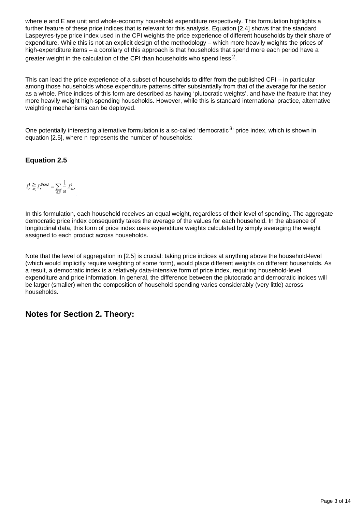where e and E are unit and whole-economy household expenditure respectively. This formulation highlights a further feature of these price indices that is relevant for this analysis. Equation [2.4] shows that the standard Laspeyres-type price index used in the CPI weights the price experience of different households by their share of expenditure. While this is not an explicit design of the methodology – which more heavily weights the prices of high-expenditure items – a corollary of this approach is that households that spend more each period have a greater weight in the calculation of the CPI than households who spend less  $^2$ .

This can lead the price experience of a subset of households to differ from the published CPI – in particular among those households whose expenditure patterns differ substantially from that of the average for the sector as a whole. Price indices of this form are described as having 'plutocratic weights', and have the feature that they more heavily weight high-spending households. However, while this is standard international practice, alternative weighting mechanisms can be deployed.

One potentially interesting alternative formulation is a so-called 'democratic  $3$ ' price index, which is shown in equation [2.5], where n represents the number of households:

#### **Equation 2.5**

$$
I_r^t \geq I_r^{Demz} = \sum_{a,r} \frac{1}{n} I_{a,r}^t
$$

In this formulation, each household receives an equal weight, regardless of their level of spending. The aggregate democratic price index consequently takes the average of the values for each household. In the absence of longitudinal data, this form of price index uses expenditure weights calculated by simply averaging the weight assigned to each product across households.

Note that the level of aggregation in [2.5] is crucial: taking price indices at anything above the household-level (which would implicitly require weighting of some form), would place different weights on different households. As a result, a democratic index is a relatively data-intensive form of price index, requiring household-level expenditure and price information. In general, the difference between the plutocratic and democratic indices will be larger (smaller) when the composition of household spending varies considerably (very little) across households.

### **Notes for Section 2. Theory:**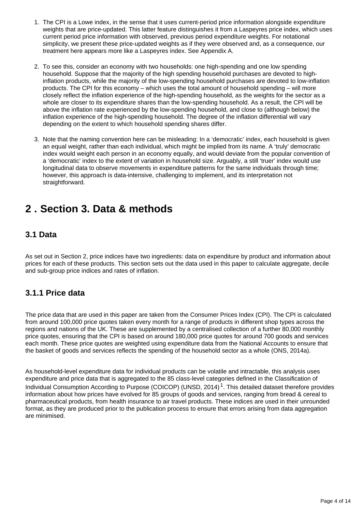- 1. The CPI is a Lowe index, in the sense that it uses current-period price information alongside expenditure weights that are price-updated. This latter feature distinguishes it from a Laspeyres price index, which uses current period price information with observed, previous period expenditure weights. For notational simplicity, we present these price-updated weights as if they were observed and, as a consequence, our treatment here appears more like a Laspeyres index. See Appendix A.
- 2. To see this, consider an economy with two households: one high-spending and one low spending household. Suppose that the majority of the high spending household purchases are devoted to highinflation products, while the majority of the low-spending household purchases are devoted to low-inflation products. The CPI for this economy – which uses the total amount of household spending – will more closely reflect the inflation experience of the high-spending household, as the weights for the sector as a whole are closer to its expenditure shares than the low-spending household. As a result, the CPI will be above the inflation rate experienced by the low-spending household, and close to (although below) the inflation experience of the high-spending household. The degree of the inflation differential will vary depending on the extent to which household spending shares differ.
- 3. Note that the naming convention here can be misleading: In a 'democratic' index, each household is given an equal weight, rather than each individual, which might be implied from its name. A 'truly' democratic index would weight each person in an economy equally, and would deviate from the popular convention of a 'democratic' index to the extent of variation in household size. Arguably, a still 'truer' index would use longitudinal data to observe movements in expenditure patterns for the same individuals through time; however, this approach is data-intensive, challenging to implement, and its interpretation not straightforward.

## <span id="page-3-0"></span>**2 . Section 3. Data & methods**

### **3.1 Data**

As set out in Section 2, price indices have two ingredients: data on expenditure by product and information about prices for each of these products. This section sets out the data used in this paper to calculate aggregate, decile and sub-group price indices and rates of inflation.

### **3.1.1 Price data**

The price data that are used in this paper are taken from the Consumer Prices Index (CPI). The CPI is calculated from around 100,000 price quotes taken every month for a range of products in different shop types across the regions and nations of the UK. These are supplemented by a centralised collection of a further 80,000 monthly price quotes, ensuring that the CPI is based on around 180,000 price quotes for around 700 goods and services each month. These price quotes are weighted using expenditure data from the National Accounts to ensure that the basket of goods and services reflects the spending of the household sector as a whole (ONS, 2014a).

As household-level expenditure data for individual products can be volatile and intractable, this analysis uses expenditure and price data that is aggregated to the 85 class-level categories defined in the Classification of Individual Consumption According to Purpose (COICOP) (UNSD, 2014)<sup>1</sup>. This detailed dataset therefore provides information about how prices have evolved for 85 groups of goods and services, ranging from bread & cereal to pharmaceutical products, from health insurance to air travel products. These indices are used in their unrounded format, as they are produced prior to the publication process to ensure that errors arising from data aggregation are minimised.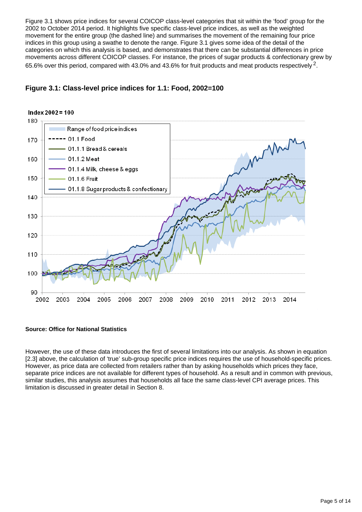Figure 3.1 shows price indices for several COICOP class-level categories that sit within the 'food' group for the 2002 to October 2014 period. It highlights five specific class-level price indices, as well as the weighted movement for the entire group (the dashed line) and summarises the movement of the remaining four price indices in this group using a swathe to denote the range. Figure 3.1 gives some idea of the detail of the categories on which this analysis is based, and demonstrates that there can be substantial differences in price movements across different COICOP classes. For instance, the prices of sugar products & confectionary grew by 65.6% over this period, compared with 43.0% and 43.6% for fruit products and meat products respectively <sup>2</sup>.



#### **Figure 3.1: Class-level price indices for 1.1: Food, 2002=100**

#### **Source: Office for National Statistics**

However, the use of these data introduces the first of several limitations into our analysis. As shown in equation [2.3] above, the calculation of 'true' sub-group specific price indices requires the use of household-specific prices. However, as price data are collected from retailers rather than by asking households which prices they face, separate price indices are not available for different types of household. As a result and in common with previous, similar studies, this analysis assumes that households all face the same class-level CPI average prices. This limitation is discussed in greater detail in Section 8.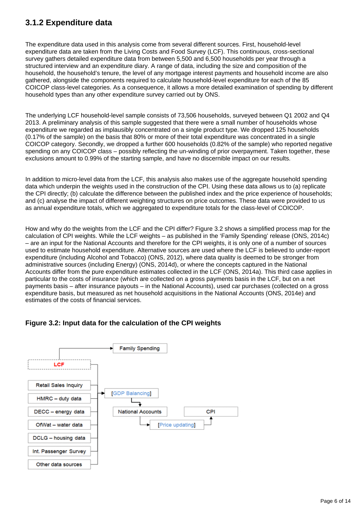## **3.1.2 Expenditure data**

The expenditure data used in this analysis come from several different sources. First, household-level expenditure data are taken from the Living Costs and Food Survey (LCF). This continuous, cross-sectional survey gathers detailed expenditure data from between 5,500 and 6,500 households per year through a structured interview and an expenditure diary. A range of data, including the size and composition of the household, the household's tenure, the level of any mortgage interest payments and household income are also gathered, alongside the components required to calculate household-level expenditure for each of the 85 COICOP class-level categories. As a consequence, it allows a more detailed examination of spending by different household types than any other expenditure survey carried out by ONS.

The underlying LCF household-level sample consists of 73,506 households, surveyed between Q1 2002 and Q4 2013. A preliminary analysis of this sample suggested that there were a small number of households whose expenditure we regarded as implausibly concentrated on a single product type. We dropped 125 households (0.17% of the sample) on the basis that 80% or more of their total expenditure was concentrated in a single COICOP category. Secondly, we dropped a further 600 households (0.82% of the sample) who reported negative spending on any COICOP class – possibly reflecting the un-winding of prior overpayment. Taken together, these exclusions amount to 0.99% of the starting sample, and have no discernible impact on our results.

In addition to micro-level data from the LCF, this analysis also makes use of the aggregate household spending data which underpin the weights used in the construction of the CPI. Using these data allows us to (a) replicate the CPI directly; (b) calculate the difference between the published index and the price experience of households; and (c) analyse the impact of different weighting structures on price outcomes. These data were provided to us as annual expenditure totals, which we aggregated to expenditure totals for the class-level of COICOP.

How and why do the weights from the LCF and the CPI differ? Figure 3.2 shows a simplified process map for the calculation of CPI weights. While the LCF weights – as published in the 'Family Spending' release (ONS, 2014c) – are an input for the National Accounts and therefore for the CPI weights, it is only one of a number of sources used to estimate household expenditure. Alternative sources are used where the LCF is believed to under-report expenditure (including Alcohol and Tobacco) (ONS, 2012), where data quality is deemed to be stronger from administrative sources (including Energy) (ONS, 2014d), or where the concepts captured in the National Accounts differ from the pure expenditure estimates collected in the LCF (ONS, 2014a). This third case applies in particular to the costs of insurance (which are collected on a gross payments basis in the LCF, but on a net payments basis – after insurance payouts – in the National Accounts), used car purchases (collected on a gross expenditure basis, but measured as net household acquisitions in the National Accounts (ONS, 2014e) and estimates of the costs of financial services.



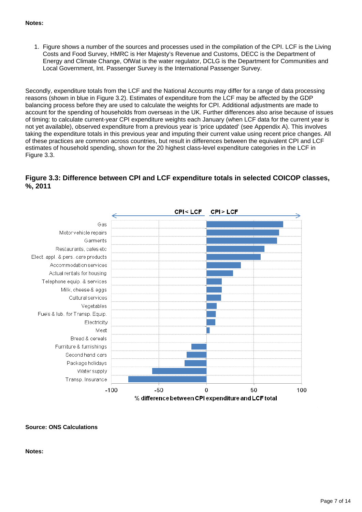#### **Notes:**

1. Figure shows a number of the sources and processes used in the compilation of the CPI. LCF is the Living Costs and Food Survey, HMRC is Her Majesty's Revenue and Customs, DECC is the Department of Energy and Climate Change, OfWat is the water regulator, DCLG is the Department for Communities and Local Government, Int. Passenger Survey is the International Passenger Survey.

Secondly, expenditure totals from the LCF and the National Accounts may differ for a range of data processing reasons (shown in blue in Figure 3.2). Estimates of expenditure from the LCF may be affected by the GDP balancing process before they are used to calculate the weights for CPI. Additional adjustments are made to account for the spending of households from overseas in the UK. Further differences also arise because of issues of timing: to calculate current-year CPI expenditure weights each January (when LCF data for the current year is not yet available), observed expenditure from a previous year is 'price updated' (see Appendix A). This involves taking the expenditure totals in this previous year and imputing their current value using recent price changes. All of these practices are common across countries, but result in differences between the equivalent CPI and LCF estimates of household spending, shown for the 20 highest class-level expenditure categories in the LCF in Figure 3.3.

#### **Figure 3.3: Difference between CPI and LCF expenditure totals in selected COICOP classes, %, 2011**



#### **Source: ONS Calculations**

#### **Notes:**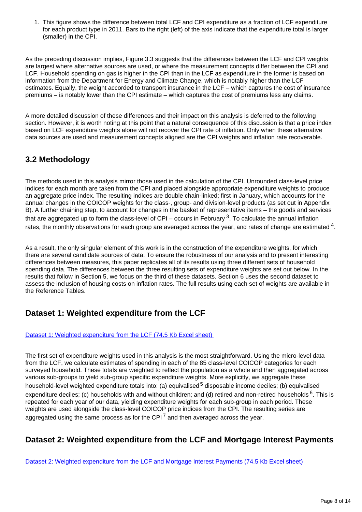1. This figure shows the difference between total LCF and CPI expenditure as a fraction of LCF expenditure for each product type in 2011. Bars to the right (left) of the axis indicate that the expenditure total is larger (smaller) in the CPI.

As the preceding discussion implies, Figure 3.3 suggests that the differences between the LCF and CPI weights are largest where alternative sources are used, or where the measurement concepts differ between the CPI and LCF. Household spending on gas is higher in the CPI than in the LCF as expenditure in the former is based on information from the Department for Energy and Climate Change, which is notably higher than the LCF estimates. Equally, the weight accorded to transport insurance in the LCF – which captures the cost of insurance premiums – is notably lower than the CPI estimate – which captures the cost of premiums less any claims.

A more detailed discussion of these differences and their impact on this analysis is deferred to the following section. However, it is worth noting at this point that a natural consequence of this discussion is that a price index based on LCF expenditure weights alone will not recover the CPI rate of inflation. Only when these alternative data sources are used and measurement concepts aligned are the CPI weights and inflation rate recoverable.

## **3.2 Methodology**

The methods used in this analysis mirror those used in the calculation of the CPI. Unrounded class-level price indices for each month are taken from the CPI and placed alongside appropriate expenditure weights to produce an aggregate price index. The resulting indices are double chain-linked; first in January, which accounts for the annual changes in the COICOP weights for the class-, group- and division-level products (as set out in Appendix B). A further chaining step, to account for changes in the basket of representative items – the goods and services that are aggregated up to form the class-level of CPI – occurs in February  $3$ . To calculate the annual inflation rates, the monthly observations for each group are averaged across the year, and rates of change are estimated  $4$ .

As a result, the only singular element of this work is in the construction of the expenditure weights, for which there are several candidate sources of data. To ensure the robustness of our analysis and to present interesting differences between measures, this paper replicates all of its results using three different sets of household spending data. The differences between the three resulting sets of expenditure weights are set out below. In the results that follow in Section 5, we focus on the third of these datasets. Section 6 uses the second dataset to assess the inclusion of housing costs on inflation rates. The full results using each set of weights are available in the Reference Tables.

## **Dataset 1: Weighted expenditure from the LCF**

#### [Dataset 1: Weighted expenditure from the LCF \(74.5 Kb Excel sheet\)](http://www.ons.gov.uk/ons/rel/elmr/variation-in-the-inflation-experience-of-uk-households/2003-2014/rfd---all-reference-tables.xls)

The first set of expenditure weights used in this analysis is the most straightforward. Using the micro-level data from the LCF, we calculate estimates of spending in each of the 85 class-level COICOP categories for each surveyed household. These totals are weighted to reflect the population as a whole and then aggregated across various sub-groups to yield sub-group specific expenditure weights. More explicitly, we aggregate these household-level weighted expenditure totals into: (a) equivalised  $5$  disposable income deciles; (b) equivalised expenditure deciles; (c) households with and without children; and (d) retired and non-retired households  $6$ . This is repeated for each year of our data, yielding expenditure weights for each sub-group in each period. These weights are used alongside the class-level COICOP price indices from the CPI. The resulting series are aggregated using the same process as for the CPI<sup> $7$ </sup> and then averaged across the year.

## **Dataset 2: Weighted expenditure from the LCF and Mortgage Interest Payments**

[Dataset 2: Weighted expenditure from the LCF and Mortgage Interest Payments \(74.5 Kb Excel sheet\)](http://www.ons.gov.uk/ons/rel/elmr/variation-in-the-inflation-experience-of-uk-households/2003-2014/rfd---all-reference-tables.xls)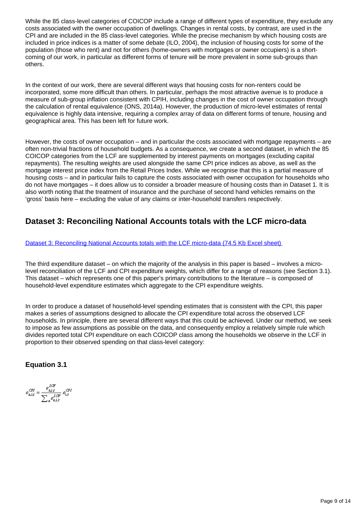While the 85 class-level categories of COICOP include a range of different types of expenditure, they exclude any costs associated with the owner occupation of dwellings. Changes in rental costs, by contrast, are used in the CPI and are included in the 85 class-level categories. While the precise mechanism by which housing costs are included in price indices is a matter of some debate (ILO, 2004), the inclusion of housing costs for some of the population (those who rent) and not for others (home-owners with mortgages or owner occupiers) is a shortcoming of our work, in particular as different forms of tenure will be more prevalent in some sub-groups than others.

In the context of our work, there are several different ways that housing costs for non-renters could be incorporated, some more difficult than others. In particular, perhaps the most attractive avenue is to produce a measure of sub-group inflation consistent with CPIH, including changes in the cost of owner occupation through the calculation of rental equivalence (ONS, 2014a). However, the production of micro-level estimates of rental equivalence is highly data intensive, requiring a complex array of data on different forms of tenure, housing and geographical area. This has been left for future work.

However, the costs of owner occupation – and in particular the costs associated with mortgage repayments – are often non-trivial fractions of household budgets. As a consequence, we create a second dataset, in which the 85 COICOP categories from the LCF are supplemented by interest payments on mortgages (excluding capital repayments). The resulting weights are used alongside the same CPI price indices as above, as well as the mortgage interest price index from the Retail Prices Index. While we recognise that this is a partial measure of housing costs – and in particular fails to capture the costs associated with owner occupation for households who do not have mortgages – it does allow us to consider a broader measure of housing costs than in Dataset 1. It is also worth noting that the treatment of insurance and the purchase of second hand vehicles remains on the 'gross' basis here – excluding the value of any claims or inter-household transfers respectively.

## **Dataset 3: Reconciling National Accounts totals with the LCF micro-data**

[Dataset 3: Reconciling National Accounts totals with the LCF micro-data \(74.5 Kb Excel sheet\)](http://www.ons.gov.uk/ons/rel/elmr/variation-in-the-inflation-experience-of-uk-households/2003-2014/rfd---all-reference-tables.xls)

The third expenditure dataset – on which the majority of the analysis in this paper is based – involves a microlevel reconciliation of the LCF and CPI expenditure weights, which differ for a range of reasons (see Section 3.1). This dataset – which represents one of this paper's primary contributions to the literature – is composed of household-level expenditure estimates which aggregate to the CPI expenditure weights.

In order to produce a dataset of household-level spending estimates that is consistent with the CPI, this paper makes a series of assumptions designed to allocate the CPI expenditure total across the observed LCF households. In principle, there are several different ways that this could be achieved. Under our method, we seek to impose as few assumptions as possible on the data, and consequently employ a relatively simple rule which divides reported total CPI expenditure on each COICOP class among the households we observe in the LCF in proportion to their observed spending on that class-level category:

**Equation 3.1**

 $e_{a,i\textit{t}}^{C\!P\!I} = \frac{e_{a,i\textit{t}}^{L\!C\!F}}{\sum_{c} e_{a,i\textit{t}}^{L\!C\!F}}.e_{i,\textit{t}}^{C\!P\!I}$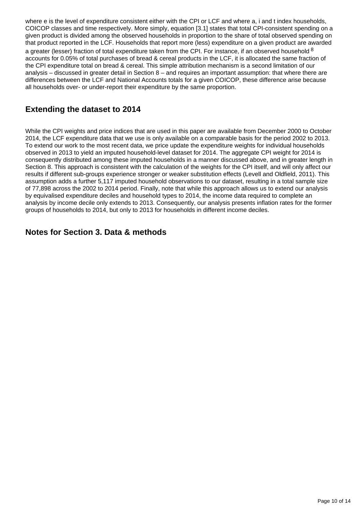where e is the level of expenditure consistent either with the CPI or LCF and where a, i and t index households, COICOP classes and time respectively. More simply, equation [3.1] states that total CPI-consistent spending on a given product is divided among the observed households in proportion to the share of total observed spending on that product reported in the LCF. Households that report more (less) expenditure on a given product are awarded a greater (lesser) fraction of total expenditure taken from the CPI. For instance, if an observed household <sup>8</sup> accounts for 0.05% of total purchases of bread & cereal products in the LCF, it is allocated the same fraction of the CPI expenditure total on bread & cereal. This simple attribution mechanism is a second limitation of our analysis – discussed in greater detail in Section  $8$  – and requires an important assumption: that where there are differences between the LCF and National Accounts totals for a given COICOP, these difference arise because all households over- or under-report their expenditure by the same proportion.

## **Extending the dataset to 2014**

While the CPI weights and price indices that are used in this paper are available from December 2000 to October 2014, the LCF expenditure data that we use is only available on a comparable basis for the period 2002 to 2013. To extend our work to the most recent data, we price update the expenditure weights for individual households observed in 2013 to yield an imputed household-level dataset for 2014. The aggregate CPI weight for 2014 is consequently distributed among these imputed households in a manner discussed above, and in greater length in Section 8. This approach is consistent with the calculation of the weights for the CPI itself, and will only affect our results if different sub-groups experience stronger or weaker substitution effects (Levell and Oldfield, 2011). This assumption adds a further 5,117 imputed household observations to our dataset, resulting in a total sample size of 77,898 across the 2002 to 2014 period. Finally, note that while this approach allows us to extend our analysis by equivalised expenditure deciles and household types to 2014, the income data required to complete an analysis by income decile only extends to 2013. Consequently, our analysis presents inflation rates for the former groups of households to 2014, but only to 2013 for households in different income deciles.

### **Notes for Section 3. Data & methods**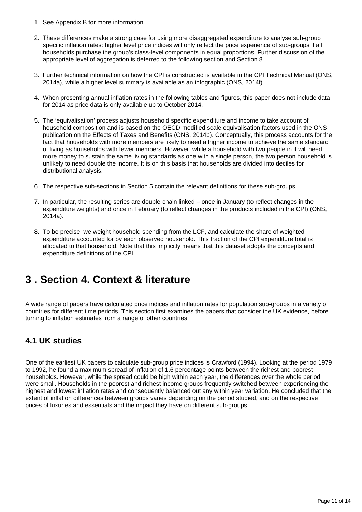- 1. See Appendix B for more information
- 2. These differences make a strong case for using more disaggregated expenditure to analyse sub-group specific inflation rates: higher level price indices will only reflect the price experience of sub-groups if all households purchase the group's class-level components in equal proportions. Further discussion of the appropriate level of aggregation is deferred to the following section and Section 8.
- 3. Further technical information on how the CPI is constructed is available in the CPI Technical Manual (ONS, 2014a), while a higher level summary is available as an infographic (ONS, 2014f).
- 4. When presenting annual inflation rates in the following tables and figures, this paper does not include data for 2014 as price data is only available up to October 2014.
- 5. The 'equivalisation' process adjusts household specific expenditure and income to take account of household composition and is based on the OECD-modified scale equivalisation factors used in the ONS publication on the Effects of Taxes and Benefits (ONS, 2014b). Conceptually, this process accounts for the fact that households with more members are likely to need a higher income to achieve the same standard of living as households with fewer members. However, while a household with two people in it will need more money to sustain the same living standards as one with a single person, the two person household is unlikely to need double the income. It is on this basis that households are divided into deciles for distributional analysis.
- 6. The respective sub-sections in Section 5 contain the relevant definitions for these sub-groups.
- 7. In particular, the resulting series are double-chain linked once in January (to reflect changes in the expenditure weights) and once in February (to reflect changes in the products included in the CPI) (ONS, 2014a).
- 8. To be precise, we weight household spending from the LCF, and calculate the share of weighted expenditure accounted for by each observed household. This fraction of the CPI expenditure total is allocated to that household. Note that this implicitly means that this dataset adopts the concepts and expenditure definitions of the CPI.

## <span id="page-10-0"></span>**3 . Section 4. Context & literature**

A wide range of papers have calculated price indices and inflation rates for population sub-groups in a variety of countries for different time periods. This section first examines the papers that consider the UK evidence, before turning to inflation estimates from a range of other countries.

### **4.1 UK studies**

One of the earliest UK papers to calculate sub-group price indices is Crawford (1994). Looking at the period 1979 to 1992, he found a maximum spread of inflation of 1.6 percentage points between the richest and poorest households. However, while the spread could be high within each year, the differences over the whole period were small. Households in the poorest and richest income groups frequently switched between experiencing the highest and lowest inflation rates and consequently balanced out any within year variation. He concluded that the extent of inflation differences between groups varies depending on the period studied, and on the respective prices of luxuries and essentials and the impact they have on different sub-groups.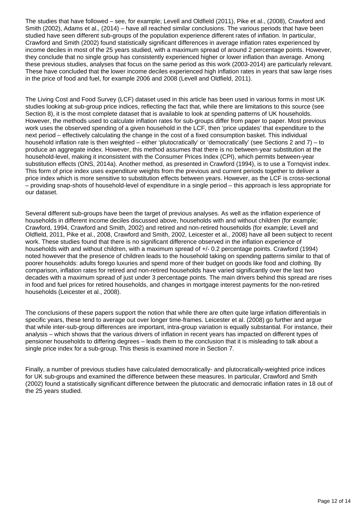The studies that have followed – see, for example; Levell and Oldfield (2011), Pike et al., (2008), Crawford and Smith (2002), Adams et al., (2014) – have all reached similar conclusions. The various periods that have been studied have seen different sub-groups of the population experience different rates of inflation. In particular, Crawford and Smith (2002) found statistically significant differences in average inflation rates experienced by income deciles in most of the 25 years studied, with a maximum spread of around 2 percentage points. However, they conclude that no single group has consistently experienced higher or lower inflation than average. Among these previous studies, analyses that focus on the same period as this work (2003-2014) are particularly relevant. These have concluded that the lower income deciles experienced high inflation rates in years that saw large rises in the price of food and fuel, for example 2006 and 2008 (Levell and Oldfield, 2011).

The Living Cost and Food Survey (LCF) dataset used in this article has been used in various forms in most UK studies looking at sub-group price indices, reflecting the fact that, while there are limitations to this source (see Section 8), it is the most complete dataset that is available to look at spending patterns of UK households. However, the methods used to calculate inflation rates for sub-groups differ from paper to paper. Most previous work uses the observed spending of a given household in the LCF, then 'price updates' that expenditure to the next period – effectively calculating the change in the cost of a fixed consumption basket. This individual household inflation rate is then weighted – either 'plutocratically' or 'democratically' (see Sections 2 and 7) – to produce an aggregate index. However, this method assumes that there is no between-year substitution at the household-level, making it inconsistent with the Consumer Prices Index (CPI), which permits between-year substitution effects (ONS, 2014a). Another method, as presented in Crawford (1994), is to use a Torngvist index. This form of price index uses expenditure weights from the previous and current periods together to deliver a price index which is more sensitive to substitution effects between years. However, as the LCF is cross-sectional – providing snap-shots of household-level of expenditure in a single period – this approach is less appropriate for our dataset.

Several different sub-groups have been the target of previous analyses. As well as the inflation experience of households in different income deciles discussed above, households with and without children (for example; Crawford, 1994, Crawford and Smith, 2002) and retired and non-retired households (for example; Levell and Oldfield, 2011, Pike et al., 2008, Crawford and Smith, 2002, Leicester et al., 2008) have all been subject to recent work. These studies found that there is no significant difference observed in the inflation experience of households with and without children, with a maximum spread of +/- 0.2 percentage points. Crawford (1994) noted however that the presence of children leads to the household taking on spending patterns similar to that of poorer households: adults forego luxuries and spend more of their budget on goods like food and clothing. By comparison, inflation rates for retired and non-retired households have varied significantly over the last two decades with a maximum spread of just under 3 percentage points. The main drivers behind this spread are rises in food and fuel prices for retired households, and changes in mortgage interest payments for the non-retired households (Leicester et al., 2008).

The conclusions of these papers support the notion that while there are often quite large inflation differentials in specific years, these tend to average out over longer time-frames. Leicester et al. (2008) go further and argue that while inter-sub-group differences are important, intra-group variation is equally substantial. For instance, their analysis – which shows that the various drivers of inflation in recent years has impacted on different types of pensioner households to differing degrees – leads them to the conclusion that it is misleading to talk about a single price index for a sub-group. This thesis is examined more in Section 7.

Finally, a number of previous studies have calculated democratically- and plutocratically-weighted price indices for UK sub-groups and examined the difference between these measures. In particular, Crawford and Smith (2002) found a statistically significant difference between the plutocratic and democratic inflation rates in 18 out of the 25 years studied.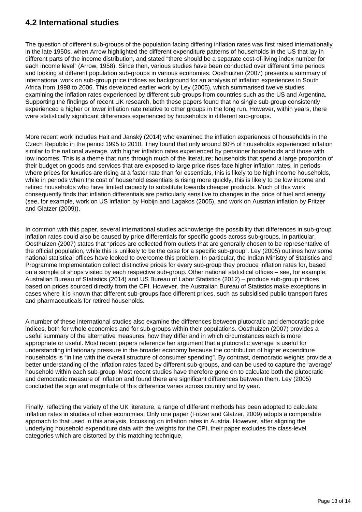## **4.2 International studies**

The question of different sub-groups of the population facing differing inflation rates was first raised internationally in the late 1950s, when Arrow highlighted the different expenditure patterns of households in the US that lay in different parts of the income distribution, and stated "there should be a separate cost-of-living index number for each income level" (Arrow, 1958). Since then, various studies have been conducted over different time periods and looking at different population sub-groups in various economies. Oosthuizen (2007) presents a summary of international work on sub-group price indices as background for an analysis of inflation experiences in South Africa from 1998 to 2006. This developed earlier work by Ley (2005), which summarised twelve studies examining the inflation rates experienced by different sub-groups from countries such as the US and Argentina. Supporting the findings of recent UK research, both these papers found that no single sub-group consistently experienced a higher or lower inflation rate relative to other groups in the long run. However, within years, there were statistically significant differences experienced by households in different sub-groups.

More recent work includes Hait and Janský (2014) who examined the inflation experiences of households in the Czech Republic in the period 1995 to 2010. They found that only around 60% of households experienced inflation similar to the national average, with higher inflation rates experienced by pensioner households and those with low incomes. This is a theme that runs through much of the literature; households that spend a large proportion of their budget on goods and services that are exposed to large price rises face higher inflation rates. In periods where prices for luxuries are rising at a faster rate than for essentials, this is likely to be high income households, while in periods when the cost of household essentials is rising more quickly, this is likely to be low income and retired households who have limited capacity to substitute towards cheaper products. Much of this work consequently finds that inflation differentials are particularly sensitive to changes in the price of fuel and energy (see, for example, work on US inflation by Hobijn and Lagakos (2005), and work on Austrian inflation by Fritzer and Glatzer (2009)).

In common with this paper, several international studies acknowledge the possibility that differences in sub-group inflation rates could also be caused by price differentials for specific goods across sub-groups. In particular, Oosthuizen (2007) states that "prices are collected from outlets that are generally chosen to be representative of the official population, while this is unlikely to be the case for a specific sub-group". Ley (2005) outlines how some national statistical offices have looked to overcome this problem. In particular, the Indian Ministry of Statistics and Programme Implementation collect distinctive prices for every sub-group they produce inflation rates for, based on a sample of shops visited by each respective sub-group. Other national statistical offices – see, for example; Australian Bureau of Statistics (2014) and US Bureau of Labor Statistics (2012) – produce sub-group indices based on prices sourced directly from the CPI. However, the Australian Bureau of Statistics make exceptions in cases where it is known that different sub-groups face different prices, such as subsidised public transport fares and pharmaceuticals for retired households.

A number of these international studies also examine the differences between plutocratic and democratic price indices, both for whole economies and for sub-groups within their populations. Oosthuizen (2007) provides a useful summary of the alternative measures, how they differ and in which circumstances each is more appropriate or useful. Most recent papers reference her argument that a plutocratic average is useful for understanding inflationary pressure in the broader economy because the contribution of higher expenditure households is "in line with the overall structure of consumer spending". By contrast, democratic weights provide a better understanding of the inflation rates faced by different sub-groups, and can be used to capture the 'average' household within each sub-group. Most recent studies have therefore gone on to calculate both the plutocratic and democratic measure of inflation and found there are significant differences between them. Ley (2005) concluded the sign and magnitude of this difference varies across country and by year.

Finally, reflecting the variety of the UK literature, a range of different methods has been adopted to calculate inflation rates in studies of other economies. Only one paper (Fritzer and Glatzer, 2009) adopts a comparable approach to that used in this analysis, focussing on inflation rates in Austria. However, after aligning the underlying household expenditure data with the weights for the CPI, their paper excludes the class-level categories which are distorted by this matching technique.